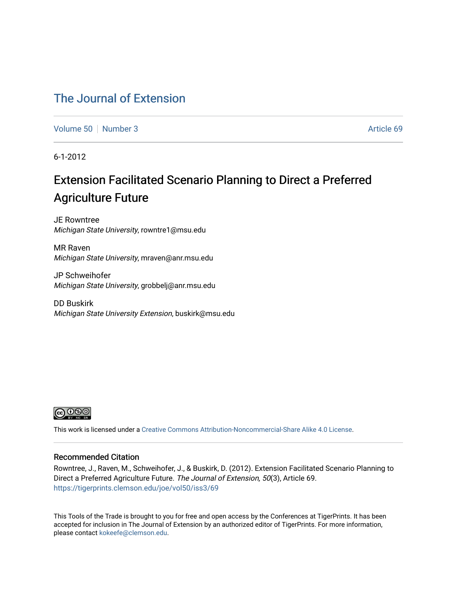# [The Journal of Extension](https://tigerprints.clemson.edu/joe)

[Volume 50](https://tigerprints.clemson.edu/joe/vol50) [Number 3](https://tigerprints.clemson.edu/joe/vol50/iss3) Article 69

6-1-2012

# Extension Facilitated Scenario Planning to Direct a Preferred Agriculture Future

JE Rowntree Michigan State University, rowntre1@msu.edu

MR Raven Michigan State University, mraven@anr.msu.edu

JP Schweihofer Michigan State University, grobbelj@anr.msu.edu

DD Buskirk Michigan State University Extension, buskirk@msu.edu



This work is licensed under a [Creative Commons Attribution-Noncommercial-Share Alike 4.0 License.](https://creativecommons.org/licenses/by-nc-sa/4.0/)

#### Recommended Citation

Rowntree, J., Raven, M., Schweihofer, J., & Buskirk, D. (2012). Extension Facilitated Scenario Planning to Direct a Preferred Agriculture Future. The Journal of Extension, 50(3), Article 69. <https://tigerprints.clemson.edu/joe/vol50/iss3/69>

This Tools of the Trade is brought to you for free and open access by the Conferences at TigerPrints. It has been accepted for inclusion in The Journal of Extension by an authorized editor of TigerPrints. For more information, please contact [kokeefe@clemson.edu](mailto:kokeefe@clemson.edu).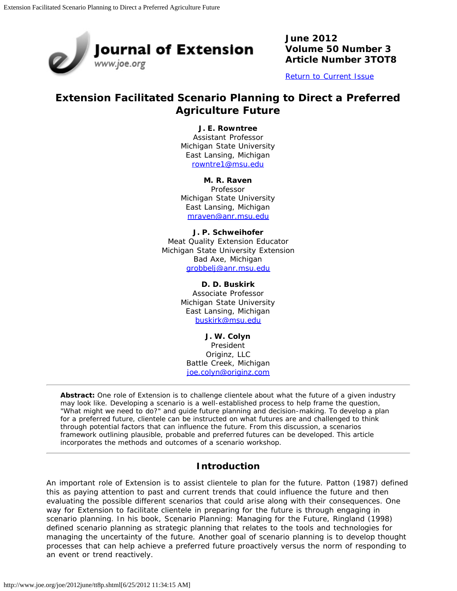

**June 2012 Volume 50 Number 3 Article Number 3TOT8**

[Return to Current Issue](http://www.joe.org/joe/2012june/)

# **Extension Facilitated Scenario Planning to Direct a Preferred Agriculture Future**

### **J. E. Rowntree**

Assistant Professor Michigan State University East Lansing, Michigan [rowntre1@msu.edu](mailto:rowntre1@msu.edu)

#### **M. R. Raven**

Professor Michigan State University East Lansing, Michigan [mraven@anr.msu.edu](mailto:mraven@anr.msu.edu)

**J. P. Schweihofer** Meat Quality Extension Educator Michigan State University Extension Bad Axe, Michigan [grobbelj@anr.msu.edu](mailto:grobbelj@anr.msu.edu)

> **D. D. Buskirk** Associate Professor Michigan State University East Lansing, Michigan [buskirk@msu.edu](mailto:buskirk@msu.edu)

**J. W. Colyn** President Originz, LLC Battle Creek, Michigan [joe.colyn@originz.com](mailto:joe.colyn@originz.com)

*Abstract: One role of Extension is to challenge clientele about what the future of a given industry may look like. Developing a scenario is a well-established process to help frame the question, "What might we need to do?" and guide future planning and decision-making. To develop a plan for a preferred future, clientele can be instructed on what futures are and challenged to think through potential factors that can influence the future. From this discussion, a scenarios framework outlining plausible, probable and preferred futures can be developed. This article incorporates the methods and outcomes of a scenario workshop.*

# **Introduction**

An important role of Extension is to assist clientele to plan for the future. Patton (1987) defined this as paying attention to past and current trends that could influence the future and then evaluating the possible different scenarios that could arise along with their consequences. One way for Extension to facilitate clientele in preparing for the future is through engaging in scenario planning. In his book, *Scenario Planning: Managing for the Future,* Ringland (1998) defined scenario planning as strategic planning that relates to the tools and technologies for managing the uncertainty of the future. Another goal of scenario planning is to develop thought processes that can help achieve a preferred future proactively versus the norm of responding to an event or trend reactively.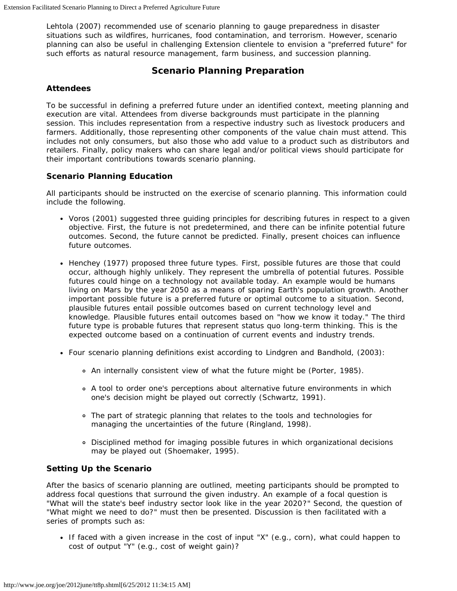Lehtola (2007) recommended use of scenario planning to gauge preparedness in disaster situations such as wildfires, hurricanes, food contamination, and terrorism. However, scenario planning can also be useful in challenging Extension clientele to envision a "preferred future" for such efforts as natural resource management, farm business, and succession planning.

# **Scenario Planning Preparation**

## **Attendees**

To be successful in defining a preferred future under an identified context, meeting planning and execution are vital. Attendees from diverse backgrounds must participate in the planning session. This includes representation from a respective industry such as livestock producers and farmers. Additionally, those representing other components of the value chain must attend. This includes not only consumers, but also those who add value to a product such as distributors and retailers. Finally, policy makers who can share legal and/or political views should participate for their important contributions towards scenario planning.

## **Scenario Planning Education**

All participants should be instructed on the exercise of scenario planning. This information could include the following.

- Voros (2001) suggested three guiding principles for describing futures in respect to a given objective. First, the future is not predetermined, and there can be infinite potential future outcomes. Second, the future cannot be predicted. Finally, present choices can influence future outcomes.
- Henchey (1977) proposed three future types. First, possible futures are those that could occur, although highly unlikely. They represent the umbrella of potential futures. Possible futures could hinge on a technology not available today. An example would be humans living on Mars by the year 2050 as a means of sparing Earth's population growth. Another important possible future is a preferred future or optimal outcome to a situation. Second, plausible futures entail possible outcomes based on current technology level and knowledge. Plausible futures entail outcomes based on "how we know it today." The third future type is probable futures that represent status quo long-term thinking. This is the expected outcome based on a continuation of current events and industry trends.
- Four scenario planning definitions exist according to Lindgren and Bandhold, (2003):
	- An internally consistent view of what the future might be (Porter, 1985).
	- A tool to order one's perceptions about alternative future environments in which one's decision might be played out correctly (Schwartz, 1991).
	- The part of strategic planning that relates to the tools and technologies for managing the uncertainties of the future (Ringland, 1998).
	- Disciplined method for imaging possible futures in which organizational decisions may be played out (Shoemaker, 1995).

### **Setting Up the Scenario**

After the basics of scenario planning are outlined, meeting participants should be prompted to address focal questions that surround the given industry. An example of a focal question is "What will the state's beef industry sector look like in the year 2020?" Second, the question of "What might we need to do?" must then be presented. Discussion is then facilitated with a series of prompts such as:

If faced with a given increase in the cost of input "X" (e.g., corn), what could happen to cost of output "Y" (e.g., cost of weight gain)?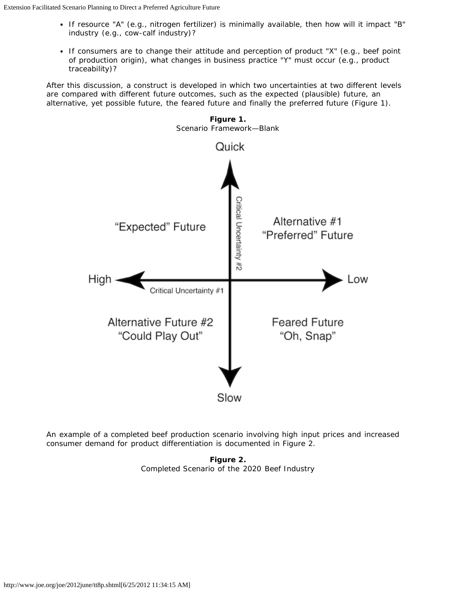- If resource "A" (e.g., nitrogen fertilizer) is minimally available, then how will it impact "B" industry (e.g., cow-calf industry)?
- If consumers are to change their attitude and perception of product "X" (e.g., beef point of production origin), what changes in business practice "Y" must occur (e.g., product traceability)?

After this discussion, a construct is developed in which two uncertainties at two different levels are compared with different future outcomes, such as the expected (plausible) future, an alternative, yet possible future, the feared future and finally the preferred future (Figure 1).



An example of a completed beef production scenario involving high input prices and increased consumer demand for product differentiation is documented in Figure 2.

**Figure 2.** Completed Scenario of the 2020 Beef Industry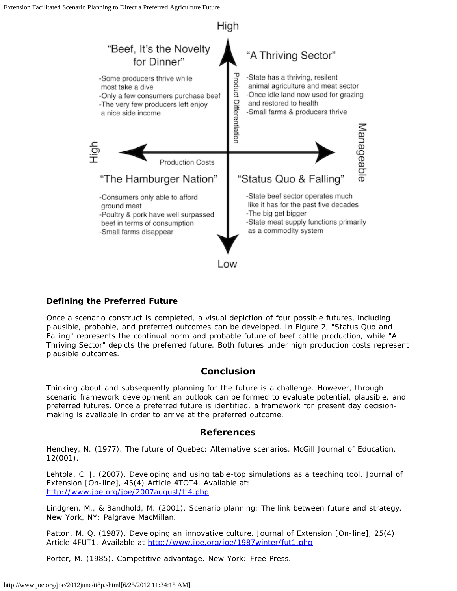

# **Defining the Preferred Future**

Once a scenario construct is completed, a visual depiction of four possible futures, including plausible, probable, and preferred outcomes can be developed. In Figure 2, "Status Quo and Falling" represents the continual norm and probable future of beef cattle production, while "A Thriving Sector" depicts the preferred future. Both futures under high production costs represent plausible outcomes.

# **Conclusion**

Thinking about and subsequently planning for the future is a challenge. However, through scenario framework development an outlook can be formed to evaluate potential, plausible, and preferred futures. Once a preferred future is identified, a framework for present day decisionmaking is available in order to arrive at the preferred outcome.

# **References**

Henchey, N. (1977). The future of Quebec: Alternative scenarios. *McGill Journal of Education.* 12(001).

Lehtola, C. J. (2007). Developing and using table-top simulations as a teaching tool. *Journal of Extension* [On-line], 45(4) Article 4TOT4. Available at: <http://www.joe.org/joe/2007august/tt4.php>

Lindgren, M., & Bandhold, M. (2001). *Scenario planning: The link between future and strategy*. New York, NY: Palgrave MacMillan.

Patton, M. Q. (1987). Developing an innovative culture. *Journal of Extension* [On-line], 25(4) Article 4FUT1. Available at <http://www.joe.org/joe/1987winter/fut1.php>

Porter, M. (1985). *Competitive advantage.* New York: Free Press.